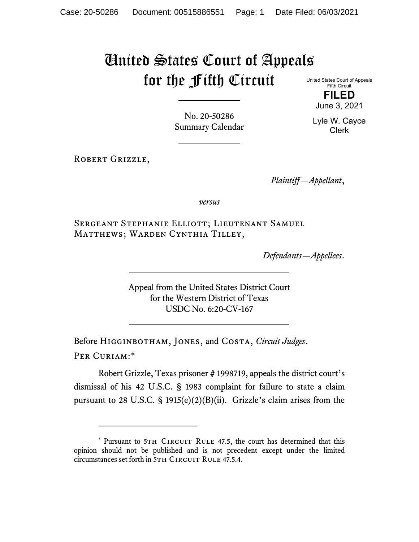## United States Court of Appeals for the Fifth Circuit

United States Court of Appeals Fifth Circuit **FILED**

June 3, 2021

Lyle W. Cayce Clerk

No. 20-50286 Summary Calendar

ROBERT GRIZZLE,

*Plaintiff—Appellant*,

*versus*

Sergeant Stephanie Elliott; Lieutenant Samuel Matthews; Warden Cynthia Tilley,

*Defendants—Appellees*.

Appeal from the United States District Court for the Western District of Texas USDC No. 6:20-CV-167

Before Higginbotham, Jones, and Costa, *Circuit Judges*. Per Curiam:[\\*](#page-0-0)

Robert Grizzle, Texas prisoner # 1998719, appeals the district court's dismissal of his 42 U.S.C. § 1983 complaint for failure to state a claim pursuant to 28 U.S.C. § 1915(e)(2)(B)(ii). Grizzle's claim arises from the

<span id="page-0-0"></span><sup>\*</sup> Pursuant to 5TH CIRCUIT RULE 47.5, the court has determined that this opinion should not be published and is not precedent except under the limited circumstances set forth in 5TH CIRCUIT RULE 47.5.4.